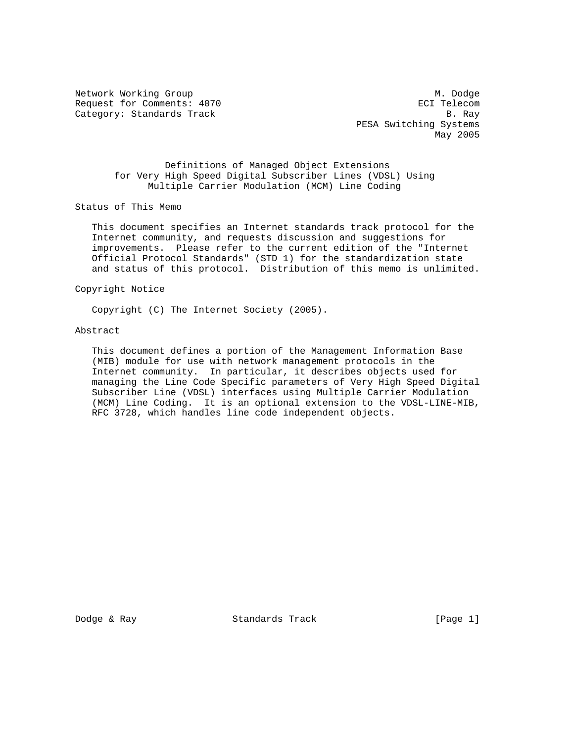Network Working Group Methods and Muslim Muslim Muslim Muslim Muslim Muslim Muslim Muslim Muslim Muslim Muslim Request for Comments: 4070 extending the community of the ECI Telecom Category: Standards Track B. Ray

 PESA Switching Systems May 2005

 Definitions of Managed Object Extensions for Very High Speed Digital Subscriber Lines (VDSL) Using Multiple Carrier Modulation (MCM) Line Coding

Status of This Memo

 This document specifies an Internet standards track protocol for the Internet community, and requests discussion and suggestions for improvements. Please refer to the current edition of the "Internet Official Protocol Standards" (STD 1) for the standardization state and status of this protocol. Distribution of this memo is unlimited.

## Copyright Notice

Copyright (C) The Internet Society (2005).

### Abstract

 This document defines a portion of the Management Information Base (MIB) module for use with network management protocols in the Internet community. In particular, it describes objects used for managing the Line Code Specific parameters of Very High Speed Digital Subscriber Line (VDSL) interfaces using Multiple Carrier Modulation (MCM) Line Coding. It is an optional extension to the VDSL-LINE-MIB, RFC 3728, which handles line code independent objects.

Dodge & Ray Standards Track [Page 1]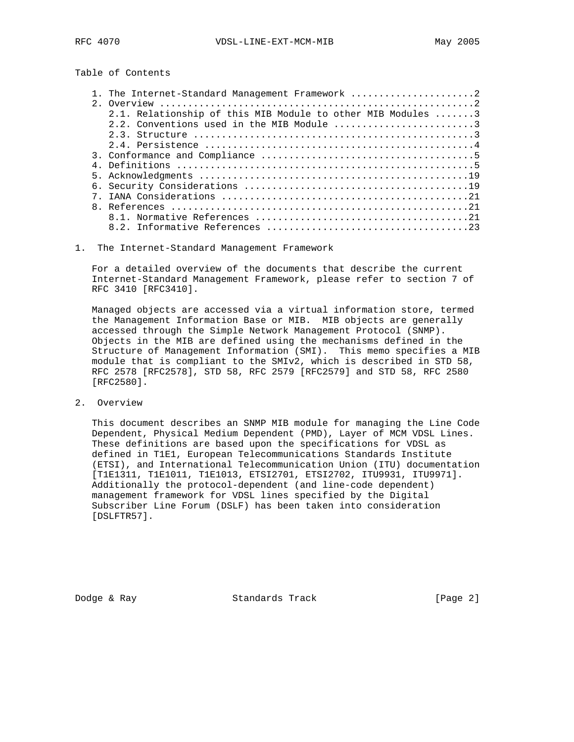# Table of Contents

| 1. The Internet-Standard Management Framework 2             |
|-------------------------------------------------------------|
|                                                             |
| 2.1. Relationship of this MIB Module to other MIB Modules 3 |
|                                                             |
|                                                             |
|                                                             |
|                                                             |
|                                                             |
|                                                             |
|                                                             |
|                                                             |
|                                                             |
|                                                             |
|                                                             |

1. The Internet-Standard Management Framework

 For a detailed overview of the documents that describe the current Internet-Standard Management Framework, please refer to section 7 of RFC 3410 [RFC3410].

 Managed objects are accessed via a virtual information store, termed the Management Information Base or MIB. MIB objects are generally accessed through the Simple Network Management Protocol (SNMP). Objects in the MIB are defined using the mechanisms defined in the Structure of Management Information (SMI). This memo specifies a MIB module that is compliant to the SMIv2, which is described in STD 58, RFC 2578 [RFC2578], STD 58, RFC 2579 [RFC2579] and STD 58, RFC 2580 [RFC2580].

2. Overview

 This document describes an SNMP MIB module for managing the Line Code Dependent, Physical Medium Dependent (PMD), Layer of MCM VDSL Lines. These definitions are based upon the specifications for VDSL as defined in T1E1, European Telecommunications Standards Institute (ETSI), and International Telecommunication Union (ITU) documentation [T1E1311, T1E1011, T1E1013, ETSI2701, ETSI2702, ITU9931, ITU9971]. Additionally the protocol-dependent (and line-code dependent) management framework for VDSL lines specified by the Digital Subscriber Line Forum (DSLF) has been taken into consideration [DSLFTR57].

Dodge & Ray Standards Track [Page 2]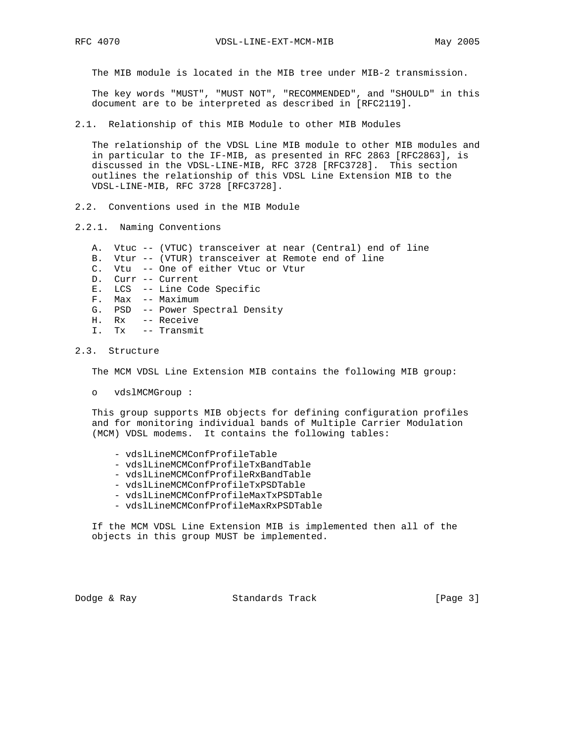The MIB module is located in the MIB tree under MIB-2 transmission.

 The key words "MUST", "MUST NOT", "RECOMMENDED", and "SHOULD" in this document are to be interpreted as described in [RFC2119].

2.1. Relationship of this MIB Module to other MIB Modules

 The relationship of the VDSL Line MIB module to other MIB modules and in particular to the IF-MIB, as presented in RFC 2863 [RFC2863], is discussed in the VDSL-LINE-MIB, RFC 3728 [RFC3728]. This section outlines the relationship of this VDSL Line Extension MIB to the VDSL-LINE-MIB, RFC 3728 [RFC3728].

- 2.2. Conventions used in the MIB Module
- 2.2.1. Naming Conventions
	- A. Vtuc -- (VTUC) transceiver at near (Central) end of line
	- B. Vtur -- (VTUR) transceiver at Remote end of line
	- C. Vtu -- One of either Vtuc or Vtur
	- D. Curr -- Current
	- E. LCS -- Line Code Specific
	- F. Max -- Maximum
	- G. PSD -- Power Spectral Density
	- H. Rx -- Receive
	- I. Tx -- Transmit

## 2.3. Structure

The MCM VDSL Line Extension MIB contains the following MIB group:

o vdslMCMGroup :

 This group supports MIB objects for defining configuration profiles and for monitoring individual bands of Multiple Carrier Modulation (MCM) VDSL modems. It contains the following tables:

- vdslLineMCMConfProfileTable
- vdslLineMCMConfProfileTxBandTable
- vdslLineMCMConfProfileRxBandTable
- vdslLineMCMConfProfileTxPSDTable
- vdslLineMCMConfProfileMaxTxPSDTable
- vdslLineMCMConfProfileMaxRxPSDTable

 If the MCM VDSL Line Extension MIB is implemented then all of the objects in this group MUST be implemented.

Dodge & Ray Standards Track [Page 3]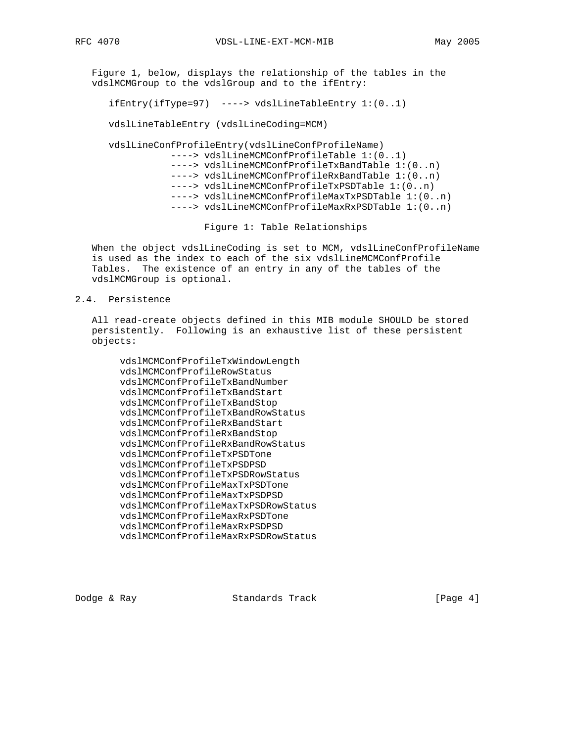Figure 1, below, displays the relationship of the tables in the vdslMCMGroup to the vdslGroup and to the ifEntry:

ifEntry(ifType=97) ----> vdslLineTableEntry 1:(0..1)

vdslLineTableEntry (vdslLineCoding=MCM)

 vdslLineConfProfileEntry(vdslLineConfProfileName) ----> vdslLineMCMConfProfileTable 1:(0..1) ----> vdslLineMCMConfProfileTxBandTable 1:(0..n) ----> vdslLineMCMConfProfileRxBandTable 1:(0..n) ----> vdslLineMCMConfProfileTxPSDTable 1:(0..n) ----> vdslLineMCMConfProfileMaxTxPSDTable 1:(0..n) ----> vdslLineMCMConfProfileMaxRxPSDTable 1:(0..n)

Figure 1: Table Relationships

 When the object vdslLineCoding is set to MCM, vdslLineConfProfileName is used as the index to each of the six vdslLineMCMConfProfile Tables. The existence of an entry in any of the tables of the vdslMCMGroup is optional.

## 2.4. Persistence

 All read-create objects defined in this MIB module SHOULD be stored persistently. Following is an exhaustive list of these persistent objects:

 vdslMCMConfProfileTxWindowLength vdslMCMConfProfileRowStatus vdslMCMConfProfileTxBandNumber vdslMCMConfProfileTxBandStart vdslMCMConfProfileTxBandStop vdslMCMConfProfileTxBandRowStatus vdslMCMConfProfileRxBandStart vdslMCMConfProfileRxBandStop vdslMCMConfProfileRxBandRowStatus vdslMCMConfProfileTxPSDTone vdslMCMConfProfileTxPSDPSD vdslMCMConfProfileTxPSDRowStatus vdslMCMConfProfileMaxTxPSDTone vdslMCMConfProfileMaxTxPSDPSD vdslMCMConfProfileMaxTxPSDRowStatus vdslMCMConfProfileMaxRxPSDTone vdslMCMConfProfileMaxRxPSDPSD vdslMCMConfProfileMaxRxPSDRowStatus

Dodge & Ray Standards Track [Page 4]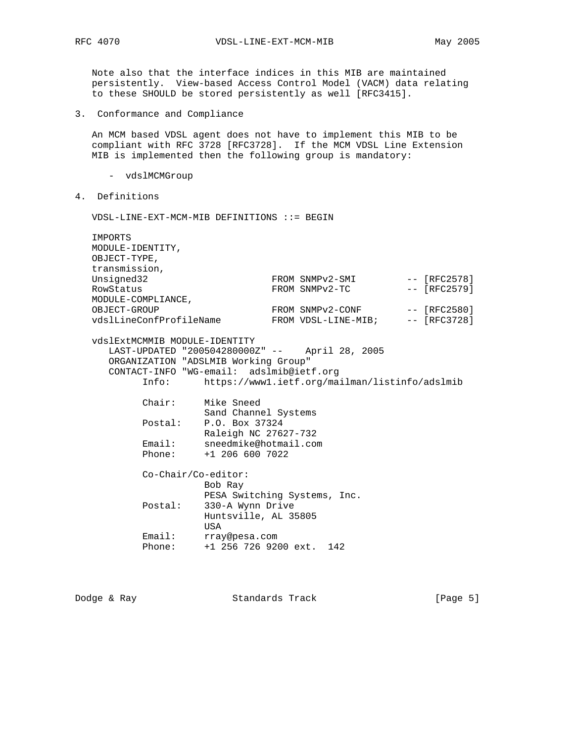Note also that the interface indices in this MIB are maintained persistently. View-based Access Control Model (VACM) data relating to these SHOULD be stored persistently as well [RFC3415].

3. Conformance and Compliance

 An MCM based VDSL agent does not have to implement this MIB to be compliant with RFC 3728 [RFC3728]. If the MCM VDSL Line Extension MIB is implemented then the following group is mandatory:

- vdslMCMGroup
- 4. Definitions

VDSL-LINE-EXT-MCM-MIB DEFINITIONS ::= BEGIN

| IMPORTS                                        |                                                |  |  |                     |  |                |
|------------------------------------------------|------------------------------------------------|--|--|---------------------|--|----------------|
| MODULE-IDENTITY,                               |                                                |  |  |                     |  |                |
| OBJECT-TYPE,                                   |                                                |  |  |                     |  |                |
| transmission,                                  |                                                |  |  |                     |  |                |
| Unsigned32                                     |                                                |  |  | FROM SNMPv2-SMI     |  | -- [RFC2578]   |
| RowStatus                                      |                                                |  |  | FROM SNMPv2-TC      |  | $-- [RFC2579]$ |
| MODULE-COMPLIANCE,                             |                                                |  |  |                     |  |                |
| OBJECT-GROUP                                   |                                                |  |  | FROM SNMPv2-CONF    |  | $--$ [RFC2580] |
| vdslLineConfProfileName                        |                                                |  |  | FROM VDSL-LINE-MIB; |  | $-- [RFC3728]$ |
|                                                |                                                |  |  |                     |  |                |
| vdslExtMCMMIB MODULE-IDENTITY                  |                                                |  |  |                     |  |                |
| LAST-UPDATED "200504280000Z" -- April 28, 2005 |                                                |  |  |                     |  |                |
| ORGANIZATION "ADSLMIB Working Group"           |                                                |  |  |                     |  |                |
| CONTACT-INFO "WG-email: adslmib@ietf.org       |                                                |  |  |                     |  |                |
| Info:                                          | https://www1.ietf.org/mailman/listinfo/adslmib |  |  |                     |  |                |
|                                                |                                                |  |  |                     |  |                |
| $Chair:$                                       | Mike Sneed                                     |  |  |                     |  |                |
|                                                | Sand Channel Systems                           |  |  |                     |  |                |
| Postal:                                        | P.O. Box 37324                                 |  |  |                     |  |                |
|                                                | Raleigh NC 27627-732                           |  |  |                     |  |                |
| Email:                                         | sneedmike@hotmail.com                          |  |  |                     |  |                |
| Phone:                                         | +1 206 600 7022                                |  |  |                     |  |                |
|                                                |                                                |  |  |                     |  |                |
| $Co-Chair/Co-editor:$<br>Bob Ray               |                                                |  |  |                     |  |                |
|                                                | PESA Switching Systems, Inc.                   |  |  |                     |  |                |
| Postal:                                        | 330-A Wynn Drive                               |  |  |                     |  |                |
|                                                | Huntsville, AL 35805                           |  |  |                     |  |                |
|                                                | USA                                            |  |  |                     |  |                |
| Email:                                         | rray@pesa.com                                  |  |  |                     |  |                |
| Phone:                                         | +1 256 726 9200 ext. 142                       |  |  |                     |  |                |
|                                                |                                                |  |  |                     |  |                |

Dodge & Ray Standards Track [Page 5]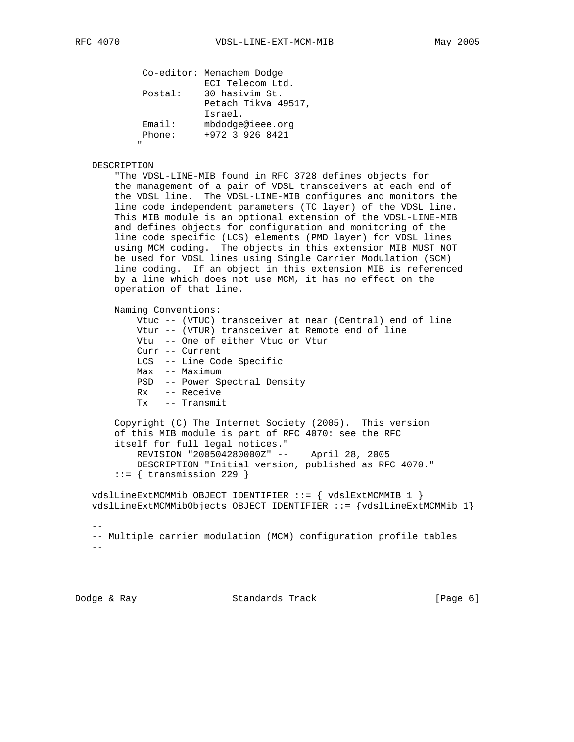|              |         | Co-editor: Menachem Dodge |
|--------------|---------|---------------------------|
|              |         | ECI Telecom Ltd.          |
|              | Postal: | 30 hasivim St.            |
|              |         | Petach Tikva 49517,       |
|              |         | Israel.                   |
|              | Email:  | mbdodge@ieee.org          |
|              | Phone:  | +972 3 926 8421           |
| $\mathbf{u}$ |         |                           |
|              |         |                           |

## DESCRIPTION

 "The VDSL-LINE-MIB found in RFC 3728 defines objects for the management of a pair of VDSL transceivers at each end of the VDSL line. The VDSL-LINE-MIB configures and monitors the line code independent parameters (TC layer) of the VDSL line. This MIB module is an optional extension of the VDSL-LINE-MIB and defines objects for configuration and monitoring of the line code specific (LCS) elements (PMD layer) for VDSL lines using MCM coding. The objects in this extension MIB MUST NOT be used for VDSL lines using Single Carrier Modulation (SCM) line coding. If an object in this extension MIB is referenced by a line which does not use MCM, it has no effect on the operation of that line.

```
 Naming Conventions:
```

```
 Vtuc -- (VTUC) transceiver at near (Central) end of line
 Vtur -- (VTUR) transceiver at Remote end of line
 Vtu -- One of either Vtuc or Vtur
 Curr -- Current
 LCS -- Line Code Specific
 Max -- Maximum
 PSD -- Power Spectral Density
 Rx -- Receive
 Tx -- Transmit
```
 Copyright (C) The Internet Society (2005). This version of this MIB module is part of RFC 4070: see the RFC itself for full legal notices." REVISION "200504280000Z" -- April 28, 2005 DESCRIPTION "Initial version, published as RFC 4070."  $::=$  { transmission 229 }

 vdslLineExtMCMMib OBJECT IDENTIFIER ::= { vdslExtMCMMIB 1 } vdslLineExtMCMMibObjects OBJECT IDENTIFIER ::= {vdslLineExtMCMMib 1}

 $-$  -- Multiple carrier modulation (MCM) configuration profile tables  $- -$ 

Dodge & Ray Standards Track [Page 6]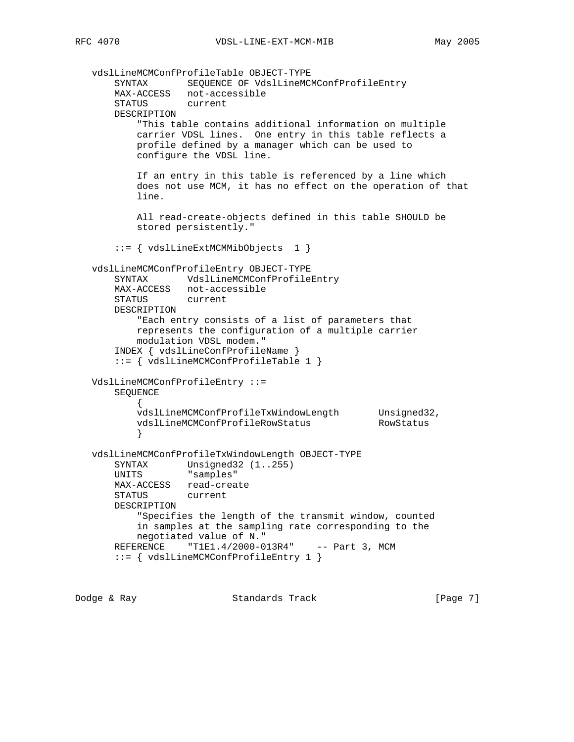vdslLineMCMConfProfileTable OBJECT-TYPE SYNTAX SEQUENCE OF VdslLineMCMConfProfileEntry MAX-ACCESS not-accessible STATUS current DESCRIPTION "This table contains additional information on multiple carrier VDSL lines. One entry in this table reflects a profile defined by a manager which can be used to configure the VDSL line. If an entry in this table is referenced by a line which does not use MCM, it has no effect on the operation of that line. All read-create-objects defined in this table SHOULD be stored persistently." ::= { vdslLineExtMCMMibObjects 1 } vdslLineMCMConfProfileEntry OBJECT-TYPE SYNTAX VdslLineMCMConfProfileEntry MAX-ACCESS not-accessible STATUS current DESCRIPTION "Each entry consists of a list of parameters that represents the configuration of a multiple carrier modulation VDSL modem." INDEX { vdslLineConfProfileName } ::= { vdslLineMCMConfProfileTable 1 } VdslLineMCMConfProfileEntry ::= SEQUENCE { vdslLineMCMConfProfileTxWindowLength Unsigned32, vdslLineMCMConfProfileRowStatus RowStatus } vdslLineMCMConfProfileTxWindowLength OBJECT-TYPE SYNTAX Unsigned32 (1..255) UNITS "samples" MAX-ACCESS read-create STATUS current DESCRIPTION "Specifies the length of the transmit window, counted in samples at the sampling rate corresponding to the negotiated value of N." REFERENCE "T1E1.4/2000-013R4" -- Part 3, MCM ::= { vdslLineMCMConfProfileEntry 1 }

Dodge & Ray Standards Track [Page 7]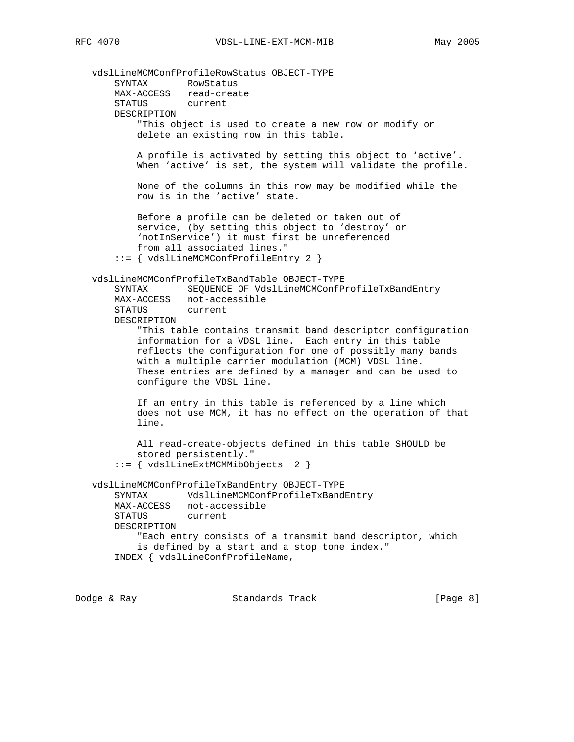vdslLineMCMConfProfileRowStatus OBJECT-TYPE SYNTAX RowStatus MAX-ACCESS read-create STATUS current DESCRIPTION "This object is used to create a new row or modify or delete an existing row in this table. A profile is activated by setting this object to 'active'. When 'active' is set, the system will validate the profile. None of the columns in this row may be modified while the row is in the 'active' state. Before a profile can be deleted or taken out of service, (by setting this object to 'destroy' or 'notInService') it must first be unreferenced from all associated lines." ::= { vdslLineMCMConfProfileEntry 2 } vdslLineMCMConfProfileTxBandTable OBJECT-TYPE SYNTAX SEQUENCE OF VdslLineMCMConfProfileTxBandEntry MAX-ACCESS not-accessible STATUS current DESCRIPTION "This table contains transmit band descriptor configuration information for a VDSL line. Each entry in this table reflects the configuration for one of possibly many bands with a multiple carrier modulation (MCM) VDSL line. These entries are defined by a manager and can be used to configure the VDSL line. If an entry in this table is referenced by a line which does not use MCM, it has no effect on the operation of that line. All read-create-objects defined in this table SHOULD be stored persistently." ::= { vdslLineExtMCMMibObjects 2 } vdslLineMCMConfProfileTxBandEntry OBJECT-TYPE SYNTAX VdslLineMCMConfProfileTxBandEntry MAX-ACCESS not-accessible STATUS current DESCRIPTION "Each entry consists of a transmit band descriptor, which is defined by a start and a stop tone index." INDEX { vdslLineConfProfileName,

Dodge & Ray Standards Track [Page 8]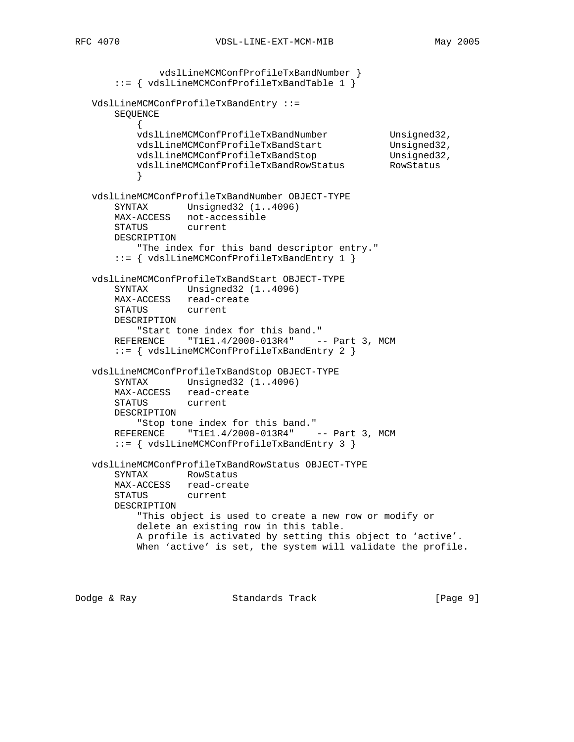```
 vdslLineMCMConfProfileTxBandNumber }
       ::= { vdslLineMCMConfProfileTxBandTable 1 }
   VdslLineMCMConfProfileTxBandEntry ::=
       SEQUENCE
          {
 vdslLineMCMConfProfileTxBandNumber Unsigned32,
vdslLineMCMConfProfileTxBandStart Unsigned32,
 vdslLineMCMConfProfileTxBandStop Unsigned32,
vdslLineMCMConfProfileTxBandRowStatus RowStatus
 }
   vdslLineMCMConfProfileTxBandNumber OBJECT-TYPE
       SYNTAX Unsigned32 (1..4096)
       MAX-ACCESS not-accessible
       STATUS current
       DESCRIPTION
          "The index for this band descriptor entry."
       ::= { vdslLineMCMConfProfileTxBandEntry 1 }
   vdslLineMCMConfProfileTxBandStart OBJECT-TYPE
       SYNTAX Unsigned32 (1..4096)
       MAX-ACCESS read-create
       STATUS current
       DESCRIPTION
          "Start tone index for this band."
      REFERENCE "T1E1.4/2000-013R4" -- Part 3, MCM
       ::= { vdslLineMCMConfProfileTxBandEntry 2 }
   vdslLineMCMConfProfileTxBandStop OBJECT-TYPE
      SYNTAX Unsigned32 (1..4096)
       MAX-ACCESS read-create
       STATUS current
       DESCRIPTION
          "Stop tone index for this band."
      REFERENCE "T1E1.4/2000-013R4" -- Part 3, MCM
       ::= { vdslLineMCMConfProfileTxBandEntry 3 }
   vdslLineMCMConfProfileTxBandRowStatus OBJECT-TYPE
       SYNTAX RowStatus
       MAX-ACCESS read-create
       STATUS current
       DESCRIPTION
          "This object is used to create a new row or modify or
          delete an existing row in this table.
          A profile is activated by setting this object to 'active'.
          When 'active' is set, the system will validate the profile.
```
Dodge & Ray Standards Track [Page 9]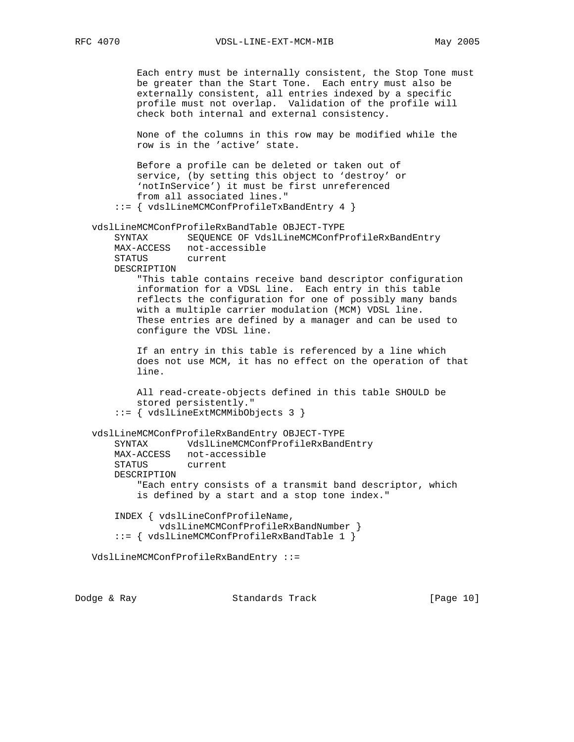Each entry must be internally consistent, the Stop Tone must be greater than the Start Tone. Each entry must also be externally consistent, all entries indexed by a specific profile must not overlap. Validation of the profile will check both internal and external consistency. None of the columns in this row may be modified while the row is in the 'active' state. Before a profile can be deleted or taken out of service, (by setting this object to 'destroy' or 'notInService') it must be first unreferenced from all associated lines." ::= { vdslLineMCMConfProfileTxBandEntry 4 } vdslLineMCMConfProfileRxBandTable OBJECT-TYPE SYNTAX SEQUENCE OF VdslLineMCMConfProfileRxBandEntry MAX-ACCESS not-accessible STATUS DESCRIPTION "This table contains receive band descriptor configuration information for a VDSL line. Each entry in this table reflects the configuration for one of possibly many bands with a multiple carrier modulation (MCM) VDSL line. These entries are defined by a manager and can be used to configure the VDSL line. If an entry in this table is referenced by a line which does not use MCM, it has no effect on the operation of that line. All read-create-objects defined in this table SHOULD be stored persistently." ::= { vdslLineExtMCMMibObjects 3 } vdslLineMCMConfProfileRxBandEntry OBJECT-TYPE SYNTAX VdslLineMCMConfProfileRxBandEntry MAX-ACCESS not-accessible STATUS current DESCRIPTION "Each entry consists of a transmit band descriptor, which is defined by a start and a stop tone index." INDEX { vdslLineConfProfileName, vdslLineMCMConfProfileRxBandNumber } ::= { vdslLineMCMConfProfileRxBandTable 1 } VdslLineMCMConfProfileRxBandEntry ::=

Dodge & Ray Standards Track [Page 10]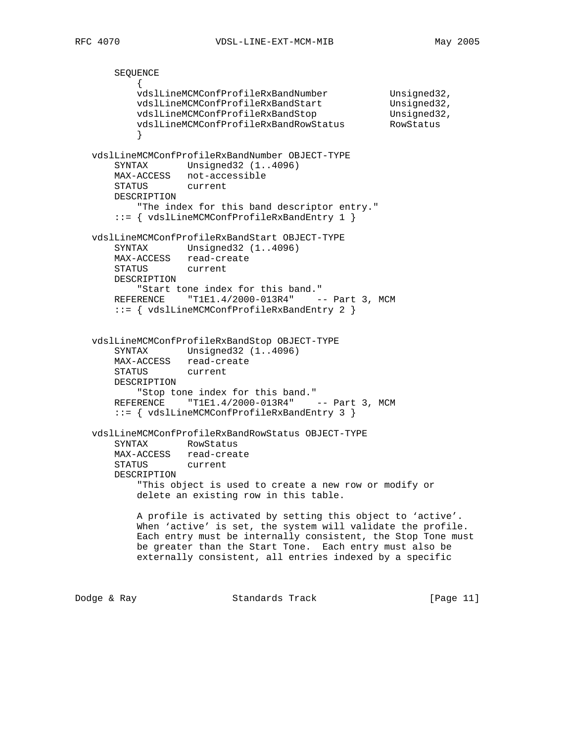```
 SEQUENCE
\{ vdslLineMCMConfProfileRxBandNumber Unsigned32,
vdslLineMCMConfProfileRxBandStart Unsigned32,
 vdslLineMCMConfProfileRxBandStop Unsigned32,
vdslLineMCMConfProfileRxBandRowStatus RowStatus
 }
   vdslLineMCMConfProfileRxBandNumber OBJECT-TYPE
       SYNTAX Unsigned32 (1..4096)
       MAX-ACCESS not-accessible
       STATUS current
       DESCRIPTION
         "The index for this band descriptor entry."
       ::= { vdslLineMCMConfProfileRxBandEntry 1 }
   vdslLineMCMConfProfileRxBandStart OBJECT-TYPE
       SYNTAX Unsigned32 (1..4096)
       MAX-ACCESS read-create
       STATUS current
       DESCRIPTION
          "Start tone index for this band."
      REFERENCE "T1E1.4/2000-013R4" -- Part 3, MCM
       ::= { vdslLineMCMConfProfileRxBandEntry 2 }
   vdslLineMCMConfProfileRxBandStop OBJECT-TYPE
       SYNTAX Unsigned32 (1..4096)
       MAX-ACCESS read-create
       STATUS current
       DESCRIPTION
          "Stop tone index for this band."
      REFERENCE "T1E1.4/2000-013R4" -- Part 3, MCM
       ::= { vdslLineMCMConfProfileRxBandEntry 3 }
   vdslLineMCMConfProfileRxBandRowStatus OBJECT-TYPE
       SYNTAX RowStatus
       MAX-ACCESS read-create
       STATUS current
       DESCRIPTION
          "This object is used to create a new row or modify or
          delete an existing row in this table.
          A profile is activated by setting this object to 'active'.
          When 'active' is set, the system will validate the profile.
          Each entry must be internally consistent, the Stop Tone must
          be greater than the Start Tone. Each entry must also be
          externally consistent, all entries indexed by a specific
Dodge & Ray Standards Track [Page 11]
```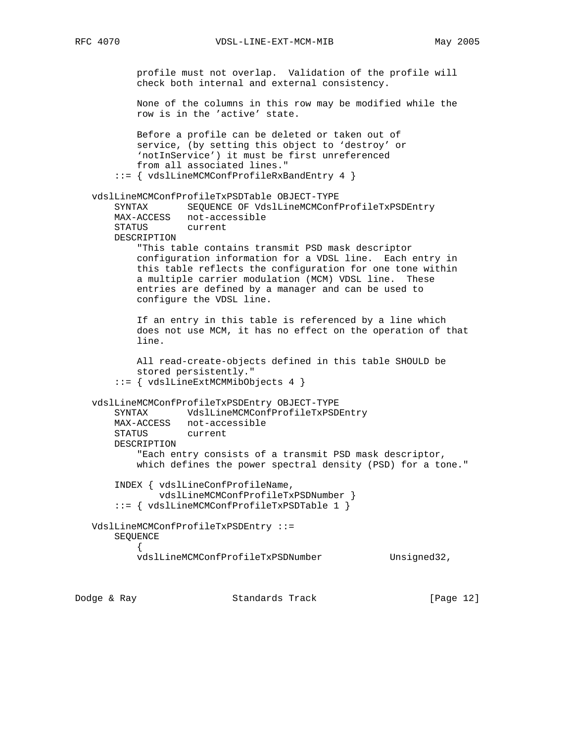profile must not overlap. Validation of the profile will check both internal and external consistency. None of the columns in this row may be modified while the row is in the 'active' state. Before a profile can be deleted or taken out of service, (by setting this object to 'destroy' or 'notInService') it must be first unreferenced from all associated lines." ::= { vdslLineMCMConfProfileRxBandEntry 4 } vdslLineMCMConfProfileTxPSDTable OBJECT-TYPE SYNTAX SEQUENCE OF VdslLineMCMConfProfileTxPSDEntry MAX-ACCESS not-accessible STATUS DESCRIPTION "This table contains transmit PSD mask descriptor configuration information for a VDSL line. Each entry in this table reflects the configuration for one tone within a multiple carrier modulation (MCM) VDSL line. These entries are defined by a manager and can be used to configure the VDSL line. If an entry in this table is referenced by a line which does not use MCM, it has no effect on the operation of that line. All read-create-objects defined in this table SHOULD be stored persistently." ::= { vdslLineExtMCMMibObjects 4 } vdslLineMCMConfProfileTxPSDEntry OBJECT-TYPE SYNTAX VdslLineMCMConfProfileTxPSDEntry MAX-ACCESS not-accessible STATUS current DESCRIPTION "Each entry consists of a transmit PSD mask descriptor, which defines the power spectral density (PSD) for a tone." INDEX { vdslLineConfProfileName, vdslLineMCMConfProfileTxPSDNumber } ::= { vdslLineMCMConfProfileTxPSDTable 1 } VdslLineMCMConfProfileTxPSDEntry ::= SEQUENCE  $\{$ vdslLineMCMConfProfileTxPSDNumber Unsigned32,

Dodge & Ray Standards Track [Page 12]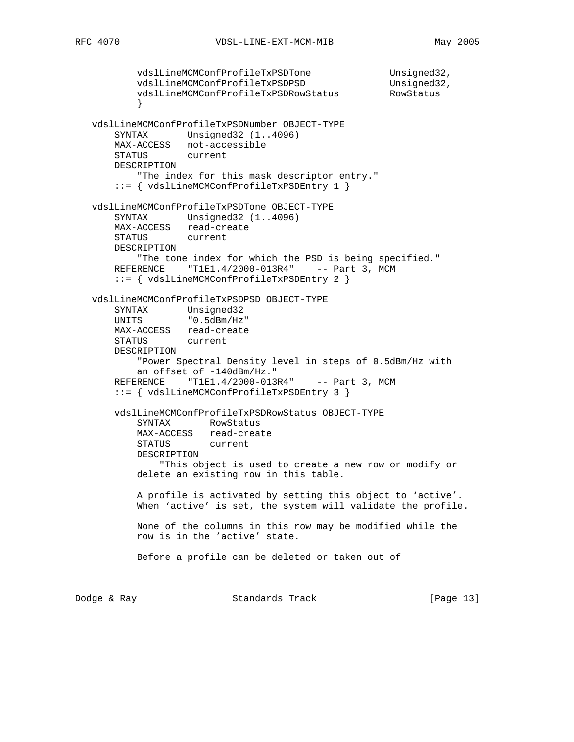```
vdslLineMCMConfProfileTxPSDTone Unsigned32,<br>vdslLineMCMConfProfileTxPSDPSD Unsigned32,
          vdslLineMCMConfProfileTxPSDPSD
          vdslLineMCMConfProfileTxPSDRowStatus RowStatus
 }
   vdslLineMCMConfProfileTxPSDNumber OBJECT-TYPE
       SYNTAX Unsigned32 (1..4096)
       MAX-ACCESS not-accessible
       STATUS current
       DESCRIPTION
           "The index for this mask descriptor entry."
       ::= { vdslLineMCMConfProfileTxPSDEntry 1 }
   vdslLineMCMConfProfileTxPSDTone OBJECT-TYPE
      SYNTAX Unsigned32 (1..4096)
       MAX-ACCESS read-create
       STATUS current
       DESCRIPTION
          "The tone index for which the PSD is being specified."
      REFERENCE "T1E1.4/2000-013R4" -- Part 3, MCM
       ::= { vdslLineMCMConfProfileTxPSDEntry 2 }
   vdslLineMCMConfProfileTxPSDPSD OBJECT-TYPE
 SYNTAX Unsigned32
 UNITS "0.5dBm/Hz"
       MAX-ACCESS read-create
       STATUS current
       DESCRIPTION
           "Power Spectral Density level in steps of 0.5dBm/Hz with
           an offset of -140dBm/Hz."
      REFERENCE "T1E1.4/2000-013R4" -- Part 3, MCM
       ::= { vdslLineMCMConfProfileTxPSDEntry 3 }
       vdslLineMCMConfProfileTxPSDRowStatus OBJECT-TYPE
           SYNTAX RowStatus
           MAX-ACCESS read-create
           STATUS current
           DESCRIPTION
               "This object is used to create a new row or modify or
           delete an existing row in this table.
           A profile is activated by setting this object to 'active'.
           When 'active' is set, the system will validate the profile.
           None of the columns in this row may be modified while the
           row is in the 'active' state.
           Before a profile can be deleted or taken out of
Dodge & Ray Standards Track [Page 13]
```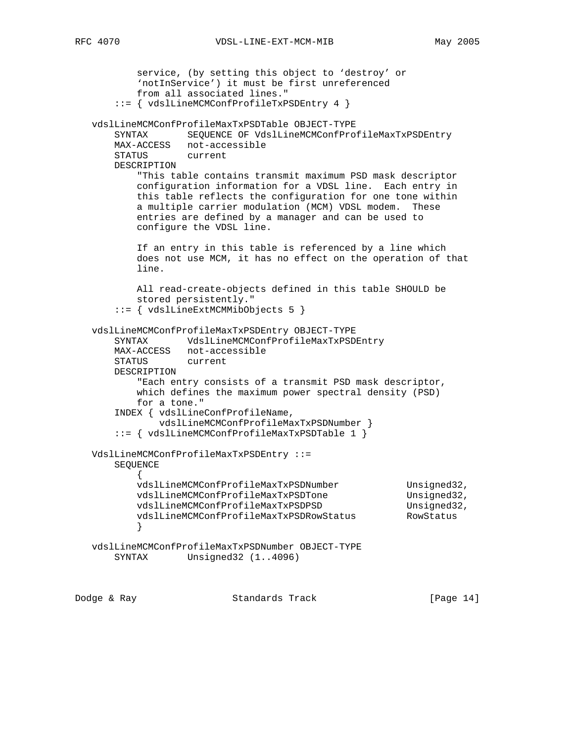```
 service, (by setting this object to 'destroy' or
           'notInService') it must be first unreferenced
           from all associated lines."
       ::= { vdslLineMCMConfProfileTxPSDEntry 4 }
   vdslLineMCMConfProfileMaxTxPSDTable OBJECT-TYPE
       SYNTAX SEQUENCE OF VdslLineMCMConfProfileMaxTxPSDEntry
       MAX-ACCESS not-accessible
       STATUS current
       DESCRIPTION
           "This table contains transmit maximum PSD mask descriptor
           configuration information for a VDSL line. Each entry in
           this table reflects the configuration for one tone within
           a multiple carrier modulation (MCM) VDSL modem. These
           entries are defined by a manager and can be used to
           configure the VDSL line.
           If an entry in this table is referenced by a line which
           does not use MCM, it has no effect on the operation of that
           line.
           All read-create-objects defined in this table SHOULD be
           stored persistently."
       ::= { vdslLineExtMCMMibObjects 5 }
   vdslLineMCMConfProfileMaxTxPSDEntry OBJECT-TYPE
       SYNTAX VdslLineMCMConfProfileMaxTxPSDEntry
       MAX-ACCESS not-accessible
       STATUS current
       DESCRIPTION
           "Each entry consists of a transmit PSD mask descriptor,
           which defines the maximum power spectral density (PSD)
           for a tone."
       INDEX { vdslLineConfProfileName,
               vdslLineMCMConfProfileMaxTxPSDNumber }
       ::= { vdslLineMCMConfProfileMaxTxPSDTable 1 }
   VdslLineMCMConfProfileMaxTxPSDEntry ::=
       SEQUENCE
\{vdslLineMCMConfProfileMaxTxPSDNumber Unsigned32,
 vdslLineMCMConfProfileMaxTxPSDTone Unsigned32,
vdslLineMCMConfProfileMaxTxPSDPSD                        Unsigned32,
           vdslLineMCMConfProfileMaxTxPSDRowStatus RowStatus
 }
   vdslLineMCMConfProfileMaxTxPSDNumber OBJECT-TYPE
       SYNTAX Unsigned32 (1..4096)
Dodge & Ray Standards Track [Page 14]
```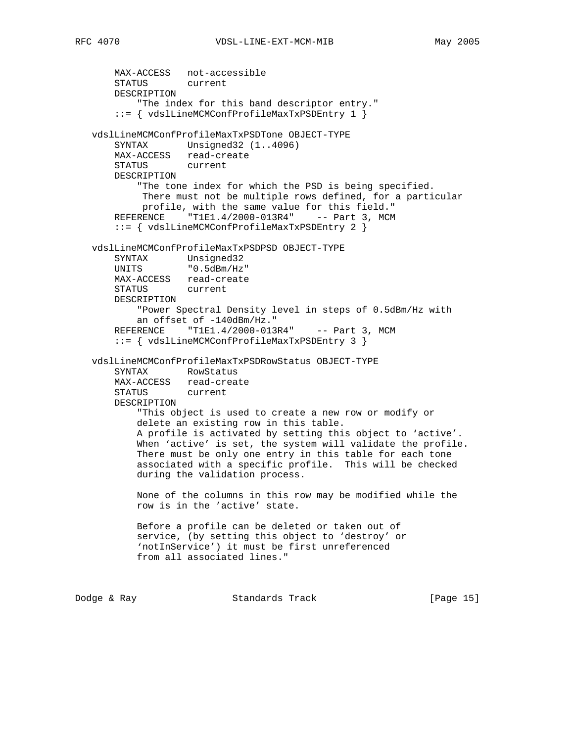```
 MAX-ACCESS not-accessible
    STATUS current
    DESCRIPTION
        "The index for this band descriptor entry."
     ::= { vdslLineMCMConfProfileMaxTxPSDEntry 1 }
 vdslLineMCMConfProfileMaxTxPSDTone OBJECT-TYPE
    SYNTAX Unsigned32 (1..4096)
    MAX-ACCESS read-create
    STATUS current
    DESCRIPTION
        "The tone index for which the PSD is being specified.
         There must not be multiple rows defined, for a particular
         profile, with the same value for this field."
   REFERENCE "T1E1.4/2000-013R4" -- Part 3, MCM
     ::= { vdslLineMCMConfProfileMaxTxPSDEntry 2 }
 vdslLineMCMConfProfileMaxTxPSDPSD OBJECT-TYPE
    SYNTAX Unsigned32
    UNITS "0.5dBm/Hz"
    MAX-ACCESS read-create
    STATUS current
    DESCRIPTION
        "Power Spectral Density level in steps of 0.5dBm/Hz with
        an offset of -140dBm/Hz."
   REFERENCE "T1E1.4/2000-013R4" -- Part 3, MCM
    ::= { vdslLineMCMConfProfileMaxTxPSDEntry 3 }
 vdslLineMCMConfProfileMaxTxPSDRowStatus OBJECT-TYPE
    SYNTAX RowStatus
    MAX-ACCESS read-create
    STATUS current
    DESCRIPTION
        "This object is used to create a new row or modify or
        delete an existing row in this table.
        A profile is activated by setting this object to 'active'.
        When 'active' is set, the system will validate the profile.
        There must be only one entry in this table for each tone
        associated with a specific profile. This will be checked
        during the validation process.
        None of the columns in this row may be modified while the
        row is in the 'active' state.
        Before a profile can be deleted or taken out of
        service, (by setting this object to 'destroy' or
        'notInService') it must be first unreferenced
        from all associated lines."
```
Dodge & Ray Standards Track [Page 15]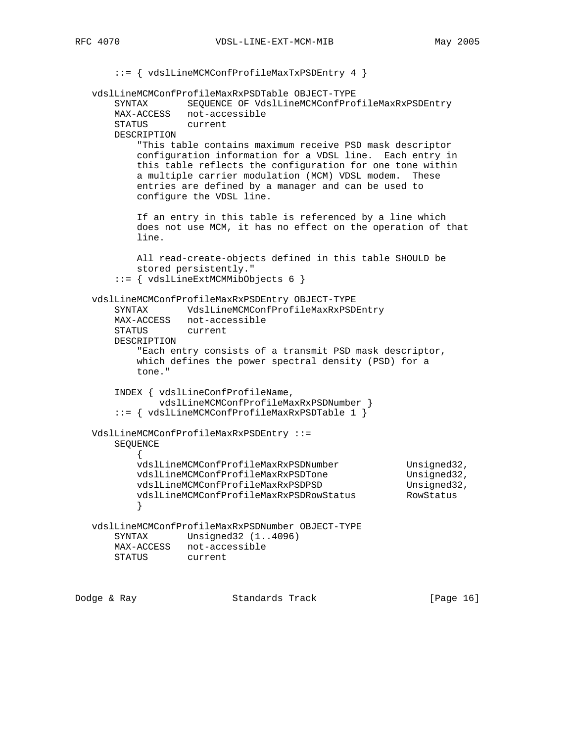```
 ::= { vdslLineMCMConfProfileMaxTxPSDEntry 4 }
   vdslLineMCMConfProfileMaxRxPSDTable OBJECT-TYPE
       SYNTAX SEQUENCE OF VdslLineMCMConfProfileMaxRxPSDEntry
       MAX-ACCESS not-accessible
       STATUS current
       DESCRIPTION
           "This table contains maximum receive PSD mask descriptor
           configuration information for a VDSL line. Each entry in
           this table reflects the configuration for one tone within
           a multiple carrier modulation (MCM) VDSL modem. These
           entries are defined by a manager and can be used to
           configure the VDSL line.
           If an entry in this table is referenced by a line which
           does not use MCM, it has no effect on the operation of that
           line.
          All read-create-objects defined in this table SHOULD be
          stored persistently."
       ::= { vdslLineExtMCMMibObjects 6 }
   vdslLineMCMConfProfileMaxRxPSDEntry OBJECT-TYPE
       SYNTAX VdslLineMCMConfProfileMaxRxPSDEntry
       MAX-ACCESS not-accessible
 STATUS current
 DESCRIPTION
           "Each entry consists of a transmit PSD mask descriptor,
           which defines the power spectral density (PSD) for a
          tone."
       INDEX { vdslLineConfProfileName,
              vdslLineMCMConfProfileMaxRxPSDNumber }
       ::= { vdslLineMCMConfProfileMaxRxPSDTable 1 }
   VdslLineMCMConfProfileMaxRxPSDEntry ::=
       SEQUENCE
\{vdslLineMCMConfProfileMaxRxPSDNumber Unsigned32,
 vdslLineMCMConfProfileMaxRxPSDTone Unsigned32,
vdslLineMCMConfProfileMaxRxPSDPSD Unsigned32,
           vdslLineMCMConfProfileMaxRxPSDRowStatus RowStatus
 }
   vdslLineMCMConfProfileMaxRxPSDNumber OBJECT-TYPE
       SYNTAX Unsigned32 (1..4096)
       MAX-ACCESS not-accessible
       STATUS current
```
Dodge & Ray Standards Track [Page 16]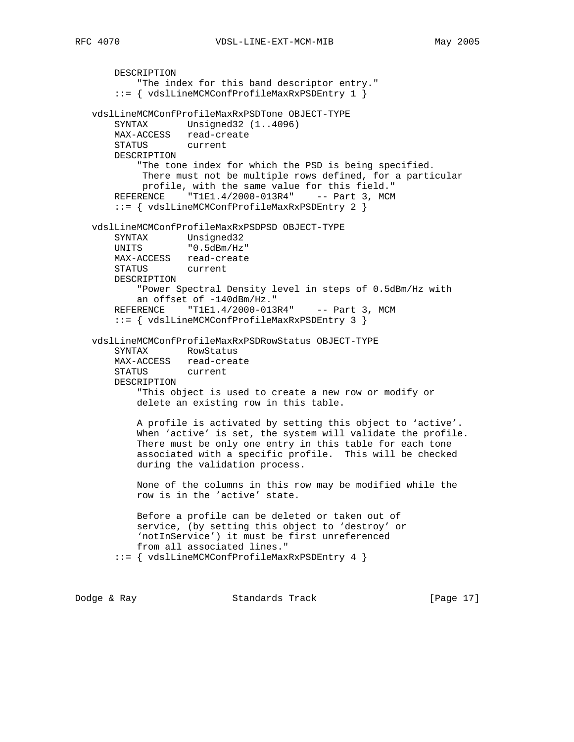```
 DESCRIPTION
        "The index for this band descriptor entry."
     ::= { vdslLineMCMConfProfileMaxRxPSDEntry 1 }
 vdslLineMCMConfProfileMaxRxPSDTone OBJECT-TYPE
   SYNTAX Unsigned32 (1..4096)
    MAX-ACCESS read-create
    STATUS current
    DESCRIPTION
        "The tone index for which the PSD is being specified.
         There must not be multiple rows defined, for a particular
         profile, with the same value for this field."
   REFERENCE "T1E1.4/2000-013R4" -- Part 3, MCM
     ::= { vdslLineMCMConfProfileMaxRxPSDEntry 2 }
 vdslLineMCMConfProfileMaxRxPSDPSD OBJECT-TYPE
    SYNTAX Unsigned32
    UNITS "0.5dBm/Hz"
    MAX-ACCESS read-create
    STATUS current
    DESCRIPTION
        "Power Spectral Density level in steps of 0.5dBm/Hz with
       an offset of -140dBm/Hz."
   REFERENCE "T1E1.4/2000-013R4" -- Part 3, MCM
    ::= { vdslLineMCMConfProfileMaxRxPSDEntry 3 }
 vdslLineMCMConfProfileMaxRxPSDRowStatus OBJECT-TYPE
    SYNTAX RowStatus
    MAX-ACCESS read-create
    STATUS current
    DESCRIPTION
        "This object is used to create a new row or modify or
        delete an existing row in this table.
        A profile is activated by setting this object to 'active'.
        When 'active' is set, the system will validate the profile.
        There must be only one entry in this table for each tone
        associated with a specific profile. This will be checked
        during the validation process.
        None of the columns in this row may be modified while the
        row is in the 'active' state.
        Before a profile can be deleted or taken out of
        service, (by setting this object to 'destroy' or
        'notInService') it must be first unreferenced
        from all associated lines."
     ::= { vdslLineMCMConfProfileMaxRxPSDEntry 4 }
```
Dodge & Ray Standards Track [Page 17]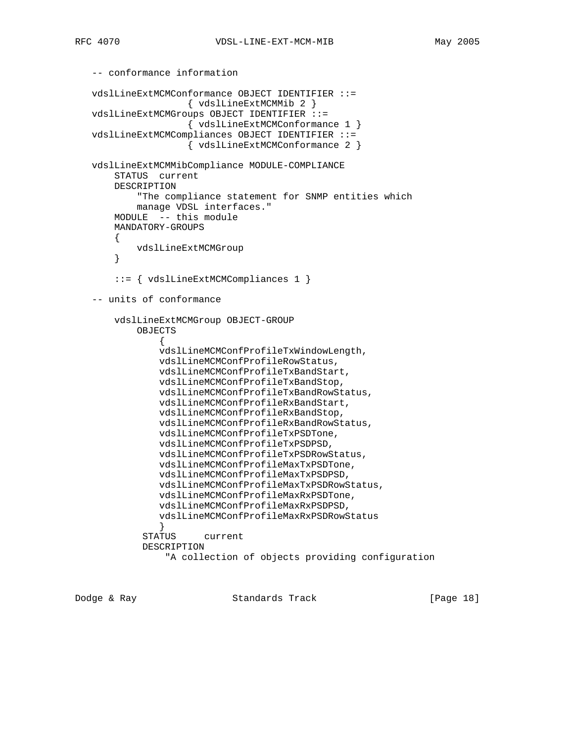```
 -- conformance information
   vdslLineExtMCMConformance OBJECT IDENTIFIER ::=
                     { vdslLineExtMCMMib 2 }
   vdslLineExtMCMGroups OBJECT IDENTIFIER ::=
                     { vdslLineExtMCMConformance 1 }
   vdslLineExtMCMCompliances OBJECT IDENTIFIER ::=
                     { vdslLineExtMCMConformance 2 }
   vdslLineExtMCMMibCompliance MODULE-COMPLIANCE
       STATUS current
       DESCRIPTION
            "The compliance statement for SNMP entities which
            manage VDSL interfaces."
       MODULE -- this module
       MANDATORY-GROUPS
       \left\{ \right. vdslLineExtMCMGroup
        }
        ::= { vdslLineExtMCMCompliances 1 }
   -- units of conformance
       vdslLineExtMCMGroup OBJECT-GROUP
            OBJECTS
 {
                vdslLineMCMConfProfileTxWindowLength,
                vdslLineMCMConfProfileRowStatus,
                vdslLineMCMConfProfileTxBandStart,
                vdslLineMCMConfProfileTxBandStop,
                vdslLineMCMConfProfileTxBandRowStatus,
                vdslLineMCMConfProfileRxBandStart,
                vdslLineMCMConfProfileRxBandStop,
                vdslLineMCMConfProfileRxBandRowStatus,
                vdslLineMCMConfProfileTxPSDTone,
                vdslLineMCMConfProfileTxPSDPSD,
                vdslLineMCMConfProfileTxPSDRowStatus,
                vdslLineMCMConfProfileMaxTxPSDTone,
                vdslLineMCMConfProfileMaxTxPSDPSD,
                vdslLineMCMConfProfileMaxTxPSDRowStatus,
                vdslLineMCMConfProfileMaxRxPSDTone,
                vdslLineMCMConfProfileMaxRxPSDPSD,
                vdslLineMCMConfProfileMaxRxPSDRowStatus
 }
             STATUS current
             DESCRIPTION
                 "A collection of objects providing configuration
```
Dodge & Ray Standards Track [Page 18]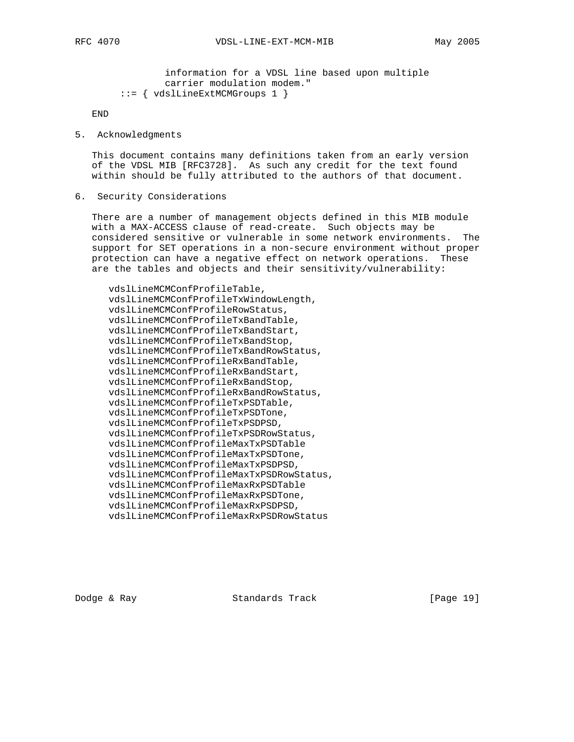information for a VDSL line based upon multiple carrier modulation modem." ::= { vdslLineExtMCMGroups 1 }

END

5. Acknowledgments

 This document contains many definitions taken from an early version of the VDSL MIB [RFC3728]. As such any credit for the text found within should be fully attributed to the authors of that document.

6. Security Considerations

 There are a number of management objects defined in this MIB module with a MAX-ACCESS clause of read-create. Such objects may be considered sensitive or vulnerable in some network environments. The support for SET operations in a non-secure environment without proper protection can have a negative effect on network operations. These are the tables and objects and their sensitivity/vulnerability:

 vdslLineMCMConfProfileTable, vdslLineMCMConfProfileTxWindowLength, vdslLineMCMConfProfileRowStatus, vdslLineMCMConfProfileTxBandTable, vdslLineMCMConfProfileTxBandStart, vdslLineMCMConfProfileTxBandStop, vdslLineMCMConfProfileTxBandRowStatus, vdslLineMCMConfProfileRxBandTable, vdslLineMCMConfProfileRxBandStart, vdslLineMCMConfProfileRxBandStop, vdslLineMCMConfProfileRxBandRowStatus, vdslLineMCMConfProfileTxPSDTable, vdslLineMCMConfProfileTxPSDTone, vdslLineMCMConfProfileTxPSDPSD, vdslLineMCMConfProfileTxPSDRowStatus, vdslLineMCMConfProfileMaxTxPSDTable vdslLineMCMConfProfileMaxTxPSDTone, vdslLineMCMConfProfileMaxTxPSDPSD, vdslLineMCMConfProfileMaxTxPSDRowStatus, vdslLineMCMConfProfileMaxRxPSDTable vdslLineMCMConfProfileMaxRxPSDTone, vdslLineMCMConfProfileMaxRxPSDPSD, vdslLineMCMConfProfileMaxRxPSDRowStatus

Dodge & Ray Standards Track [Page 19]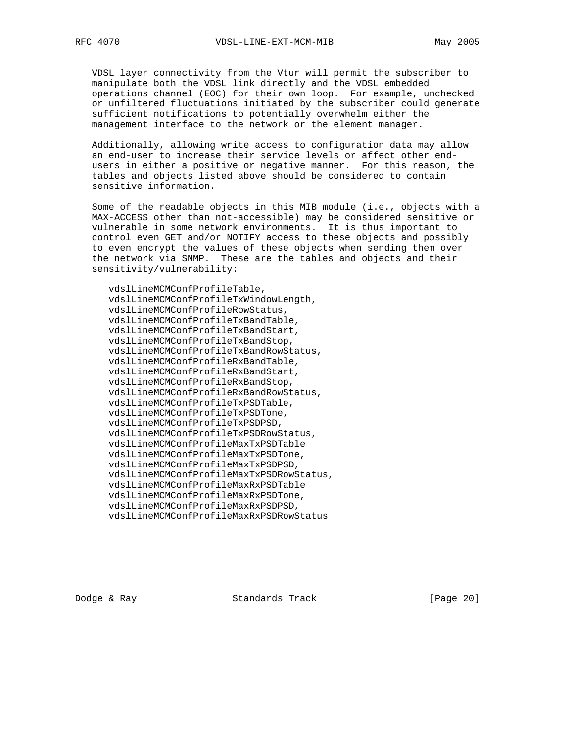VDSL layer connectivity from the Vtur will permit the subscriber to manipulate both the VDSL link directly and the VDSL embedded operations channel (EOC) for their own loop. For example, unchecked or unfiltered fluctuations initiated by the subscriber could generate sufficient notifications to potentially overwhelm either the management interface to the network or the element manager.

 Additionally, allowing write access to configuration data may allow an end-user to increase their service levels or affect other end users in either a positive or negative manner. For this reason, the tables and objects listed above should be considered to contain sensitive information.

 Some of the readable objects in this MIB module (i.e., objects with a MAX-ACCESS other than not-accessible) may be considered sensitive or vulnerable in some network environments. It is thus important to control even GET and/or NOTIFY access to these objects and possibly to even encrypt the values of these objects when sending them over the network via SNMP. These are the tables and objects and their sensitivity/vulnerability:

 vdslLineMCMConfProfileTable, vdslLineMCMConfProfileTxWindowLength, vdslLineMCMConfProfileRowStatus, vdslLineMCMConfProfileTxBandTable, vdslLineMCMConfProfileTxBandStart, vdslLineMCMConfProfileTxBandStop, vdslLineMCMConfProfileTxBandRowStatus, vdslLineMCMConfProfileRxBandTable, vdslLineMCMConfProfileRxBandStart, vdslLineMCMConfProfileRxBandStop, vdslLineMCMConfProfileRxBandRowStatus, vdslLineMCMConfProfileTxPSDTable, vdslLineMCMConfProfileTxPSDTone, vdslLineMCMConfProfileTxPSDPSD, vdslLineMCMConfProfileTxPSDRowStatus, vdslLineMCMConfProfileMaxTxPSDTable vdslLineMCMConfProfileMaxTxPSDTone, vdslLineMCMConfProfileMaxTxPSDPSD, vdslLineMCMConfProfileMaxTxPSDRowStatus, vdslLineMCMConfProfileMaxRxPSDTable vdslLineMCMConfProfileMaxRxPSDTone, vdslLineMCMConfProfileMaxRxPSDPSD, vdslLineMCMConfProfileMaxRxPSDRowStatus

Dodge & Ray Standards Track [Page 20]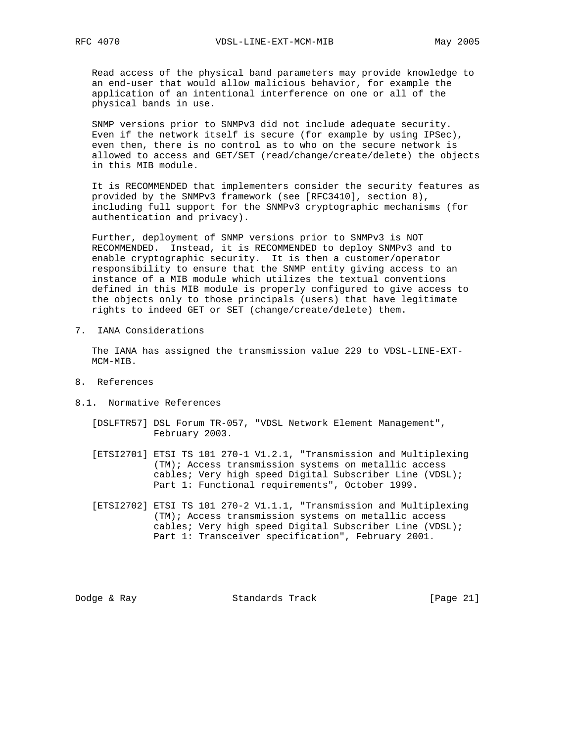Read access of the physical band parameters may provide knowledge to an end-user that would allow malicious behavior, for example the application of an intentional interference on one or all of the physical bands in use.

 SNMP versions prior to SNMPv3 did not include adequate security. Even if the network itself is secure (for example by using IPSec), even then, there is no control as to who on the secure network is allowed to access and GET/SET (read/change/create/delete) the objects in this MIB module.

 It is RECOMMENDED that implementers consider the security features as provided by the SNMPv3 framework (see [RFC3410], section 8), including full support for the SNMPv3 cryptographic mechanisms (for authentication and privacy).

 Further, deployment of SNMP versions prior to SNMPv3 is NOT RECOMMENDED. Instead, it is RECOMMENDED to deploy SNMPv3 and to enable cryptographic security. It is then a customer/operator responsibility to ensure that the SNMP entity giving access to an instance of a MIB module which utilizes the textual conventions defined in this MIB module is properly configured to give access to the objects only to those principals (users) that have legitimate rights to indeed GET or SET (change/create/delete) them.

7. IANA Considerations

 The IANA has assigned the transmission value 229 to VDSL-LINE-EXT- MCM-MIB.

- 8. References
- 8.1. Normative References
	- [DSLFTR57] DSL Forum TR-057, "VDSL Network Element Management", February 2003.
	- [ETSI2701] ETSI TS 101 270-1 V1.2.1, "Transmission and Multiplexing (TM); Access transmission systems on metallic access cables; Very high speed Digital Subscriber Line (VDSL); Part 1: Functional requirements", October 1999.
	- [ETSI2702] ETSI TS 101 270-2 V1.1.1, "Transmission and Multiplexing (TM); Access transmission systems on metallic access cables; Very high speed Digital Subscriber Line (VDSL); Part 1: Transceiver specification", February 2001.

Dodge & Ray Standards Track [Page 21]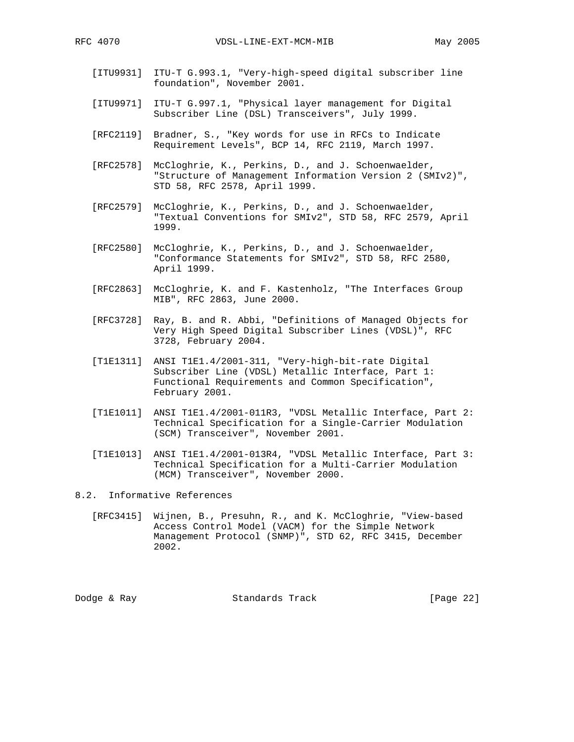- [ITU9931] ITU-T G.993.1, "Very-high-speed digital subscriber line foundation", November 2001.
- [ITU9971] ITU-T G.997.1, "Physical layer management for Digital Subscriber Line (DSL) Transceivers", July 1999.
- [RFC2119] Bradner, S., "Key words for use in RFCs to Indicate Requirement Levels", BCP 14, RFC 2119, March 1997.
- [RFC2578] McCloghrie, K., Perkins, D., and J. Schoenwaelder, "Structure of Management Information Version 2 (SMIv2)", STD 58, RFC 2578, April 1999.
- [RFC2579] McCloghrie, K., Perkins, D., and J. Schoenwaelder, "Textual Conventions for SMIv2", STD 58, RFC 2579, April 1999.
- [RFC2580] McCloghrie, K., Perkins, D., and J. Schoenwaelder, "Conformance Statements for SMIv2", STD 58, RFC 2580, April 1999.
- [RFC2863] McCloghrie, K. and F. Kastenholz, "The Interfaces Group MIB", RFC 2863, June 2000.
- [RFC3728] Ray, B. and R. Abbi, "Definitions of Managed Objects for Very High Speed Digital Subscriber Lines (VDSL)", RFC 3728, February 2004.
- [T1E1311] ANSI T1E1.4/2001-311, "Very-high-bit-rate Digital Subscriber Line (VDSL) Metallic Interface, Part 1: Functional Requirements and Common Specification", February 2001.
- [T1E1011] ANSI T1E1.4/2001-011R3, "VDSL Metallic Interface, Part 2: Technical Specification for a Single-Carrier Modulation (SCM) Transceiver", November 2001.
- [T1E1013] ANSI T1E1.4/2001-013R4, "VDSL Metallic Interface, Part 3: Technical Specification for a Multi-Carrier Modulation (MCM) Transceiver", November 2000.

## 8.2. Informative References

 [RFC3415] Wijnen, B., Presuhn, R., and K. McCloghrie, "View-based Access Control Model (VACM) for the Simple Network Management Protocol (SNMP)", STD 62, RFC 3415, December 2002.

Dodge & Ray Standards Track [Page 22]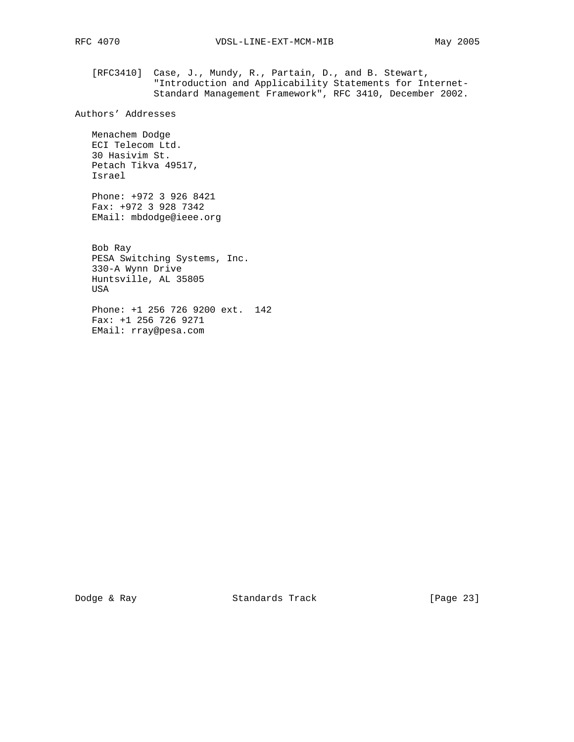[RFC3410] Case, J., Mundy, R., Partain, D., and B. Stewart, "Introduction and Applicability Statements for Internet- Standard Management Framework", RFC 3410, December 2002.

Authors' Addresses

 Menachem Dodge ECI Telecom Ltd. 30 Hasivim St. Petach Tikva 49517, Israel

 Phone: +972 3 926 8421 Fax: +972 3 928 7342 EMail: mbdodge@ieee.org

 Bob Ray PESA Switching Systems, Inc. 330-A Wynn Drive Huntsville, AL 35805 USA

 Phone: +1 256 726 9200 ext. 142 Fax: +1 256 726 9271 EMail: rray@pesa.com

Dodge & Ray Standards Track [Page 23]